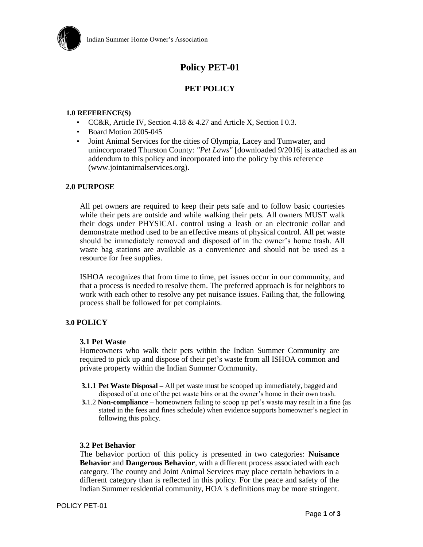

# **Policy PET-01**

# **PET POLICY**

# **1.0 REFERENCE(S)**

- CC&R, Article IV, Section 4.18 & 4.27 and Article X, Section I 0.3.
- Board Motion 2005-045
- Joint Animal Services for the cities of Olympia, Lacey and Tumwater, and unincorporated Thurston County: *"Pet Laws"* [downloaded 9/2016] is attached as an addendum to this policy and incorporated into the policy by this reference (www.jointanirnalservices.org).

#### **2.0 PURPOSE**

All pet owners are required to keep their pets safe and to follow basic courtesies while their pets are outside and while walking their pets. All owners MUST walk their dogs under PHYSICAL control using a leash or an electronic collar and demonstrate method used to be an effective means of physical control. All pet waste should be immediately removed and disposed of in the owner's home trash. All waste bag stations are available as a convenience and should not be used as a resource for free supplies.

ISHOA recognizes that from time to time, pet issues occur in our community, and that a process is needed to resolve them. The preferred approach is for neighbors to work with each other to resolve any pet nuisance issues. Failing that, the following process shall be followed for pet complaints.

# **3.0 POLICY**

#### **3.1 Pet Waste**

Homeowners who walk their pets within the Indian Summer Community are required to pick up and dispose of their pet's waste from all ISHOA common and private property within the Indian Summer Community.

- **3.1.1 Pet Waste Disposal –** All pet waste must be scooped up immediately, bagged and disposed of at one of the pet waste bins or at the owner's home in their own trash.
- **3.**1.2 **Non-compliance** homeowners failing to scoop up pet's waste may result in a fine (as stated in the fees and fines schedule) when evidence supports homeowner's neglect in following this policy.

#### **3.2 Pet Behavior**

The behavior portion of this policy is presented in two categories: **Nuisance Behavior** and **Dangerous Behavior***,* with a different process associated with each category. The county and Joint Animal Services may place certain behaviors in a different category than is reflected in this policy. For the peace and safety of the Indian Summer residential community, HOA 's definitions may be more stringent.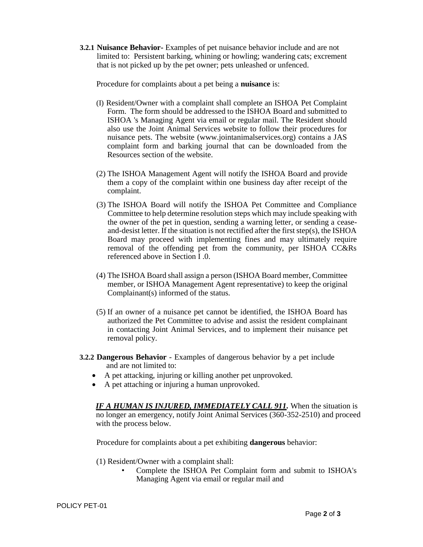**3.2.1 Nuisance Behavior-** Examples of pet nuisance behavior include and are not limited to: Persistent barking, whining or howling; wandering cats; excrement that is not picked up by the pet owner; pets unleashed or unfenced.

Procedure for complaints about a pet being a **nuisance** is:

- (I) Resident/Owner with a complaint shall complete an ISHOA Pet Complaint Form. The form should be addressed to the ISHOA Board and submitted to ISHOA 's Managing Agent via email or regular mail. The Resident should also use the Joint Animal Services website to follow their procedures for nuisance pets. The website (www.jointanimalservices.org) contains a JAS complaint form and barking journal that can be downloaded from the Resources section of the website.
- (2) The ISHOA Management Agent will notify the ISHOA Board and provide them a copy of the complaint within one business day after receipt of the complaint.
- (3) The ISHOA Board will notify the ISHOA Pet Committee and Compliance Committee to help determine resolution steps which may include speaking with the owner of the pet in question, sending a warning letter, or sending a ceaseand-desist letter. If the situation is not rectified after the first step(s), the ISHOA Board may proceed with implementing fines and may ultimately require removal of the offending pet from the community, per ISHOA CC&Rs referenced above in Section I .0.
- (4) The ISHOA Board shall assign a person (ISHOA Board member, Committee member, or ISHOA Management Agent representative) to keep the original Complainant(s) informed of the status.
- (5) If an owner of a nuisance pet cannot be identified, the ISHOA Board has authorized the Pet Committee to advise and assist the resident complainant in contacting Joint Animal Services, and to implement their nuisance pet removal policy.
- **3.2.2 Dangerous Behavior**  Examples of dangerous behavior by a pet include and are not limited to:
	- A pet attacking, injuring or killing another pet unprovoked.
	- A pet attaching or injuring a human unprovoked.

*IF A HUMAN IS INJURED, IMMEDIATELY CALL 911.* When the situation is no longer an emergency, notify Joint Animal Services (360-352-2510) and proceed with the process below.

Procedure for complaints about a pet exhibiting **dangerous** behavior:

- (1) Resident/Owner with a complaint shall:
	- Complete the ISHOA Pet Complaint form and submit to ISHOA's Managing Agent via email or regular mail and